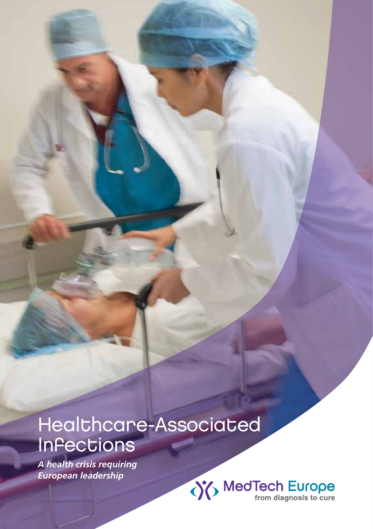# Healthcare-Associated Infections

*A health crisis requiring European leadership*

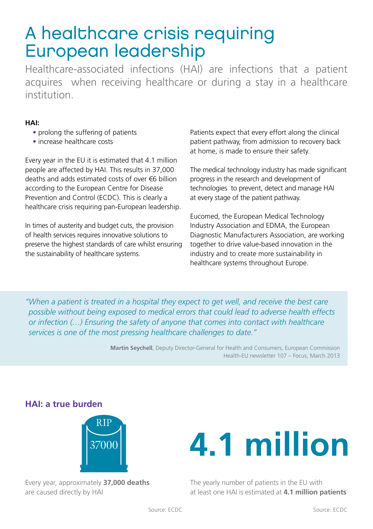## A healthcare crisis requiring European leadership

Healthcare-associated infections (HAI) are infections that a patient acquires when receiving healthcare or during a stay in a healthcare institution.

#### **HAI:**

- prolong the suffering of patients
- increase healthcare costs

Every year in the EU it is estimated that 4.1 million people are affected by HAI. This results in 37,000 deaths and adds estimated costs of over €6 billion according to the European Centre for Disease Prevention and Control (ECDC). This is clearly a healthcare crisis requiring pan-European leadership.

In times of austerity and budget cuts, the provision of health services requires innovative solutions to preserve the highest standards of care whilst ensuring the sustainability of healthcare systems.

Patients expect that every effort along the clinical patient pathway, from admission to recovery back at home, is made to ensure their safety.

The medical technology industry has made significant progress in the research and development of technologies to prevent, detect and manage HAI at every stage of the patient pathway.

Eucomed, the European Medical Technology Industry Association and EDMA, the European Diagnostic Manufacturers Association, are working together to drive value-based innovation in the industry and to create more sustainability in healthcare systems throughout Europe.

"When a patient is treated in a hospital they expect to get well, and receive the best care *possible without being exposed to medical errors that could lead to adverse health effects or infection (…) Ensuring the safety of anyone that comes into contact with healthcare services is one of the most pressing healthcare challenges to date."*

> **Martin Seychell**, Deputy Director-General for Health and Consumers, European Commission Health-EU newsletter 107 – Focus, March 2013

### **HAI: a true burden**



Every year, approximately **37,000 deaths** are caused directly by HAI



The yearly number of patients in the EU with at least one HAI is estimated at **4.1 million patients**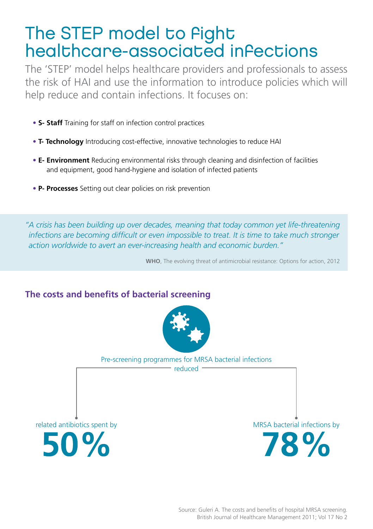# The STEP model to Pight healthcare-associated infections

The 'STEP' model helps healthcare providers and professionals to assess the risk of HAI and use the information to introduce policies which will help reduce and contain infections. It focuses on:

- **S- Staff** Training for staff on infection control practices
- **T- Technology** Introducing cost-effective, innovative technologies to reduce HAI
- **E- Environment** Reducing environmental risks through cleaning and disinfection of facilities and equipment, good hand-hygiene and isolation of infected patients
- **P- Processes** Setting out clear policies on risk prevention

*"A crisis has been building up over decades, meaning that today common yet life-threatening infections are becoming difficult or even impossible to treat. It is time to take much stronger action worldwide to avert an ever-increasing health and economic burden."*

**WHO**, The evolving threat of antimicrobial resistance: Options for action, 2012

## **The costs and benefits of bacterial screening**



Pre-screening programmes for MRSA bacterial infections

reduced

related antibiotics spent by 50%

MRSA bacterial infections by

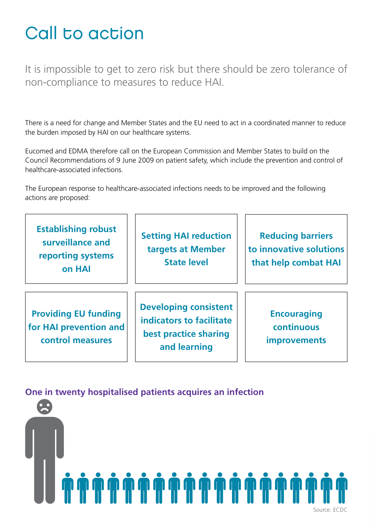# Call to action

It is impossible to get to zero risk but there should be zero tolerance of non-compliance to measures to reduce HAI.

There is a need for change and Member States and the EU need to act in a coordinated manner to reduce the burden imposed by HAI on our healthcare systems.

Eucomed and EDMA therefore call on the European Commission and Member States to build on the Council Recommendations of 9 June 2009 on patient safety, which include the prevention and control of healthcare-associated infections.

The European response to healthcare-associated infections needs to be improved and the following actions are proposed:

| <b>Establishing robust</b><br>surveillance and<br>reporting systems<br>on HAI | <b>Setting HAI reduction</b><br>targets at Member<br><b>State level</b>                           | <b>Reducing barriers</b><br>to innovative solutions<br>that help combat HAI |
|-------------------------------------------------------------------------------|---------------------------------------------------------------------------------------------------|-----------------------------------------------------------------------------|
| <b>Providing EU funding</b><br>for HAI prevention and<br>control measures     | <b>Developing consistent</b><br>indicators to facilitate<br>best practice sharing<br>and learning | <b>Encouraging</b><br>continuous<br><i>improvements</i>                     |

### **One in twenty hospitalised patients acquires an infection**

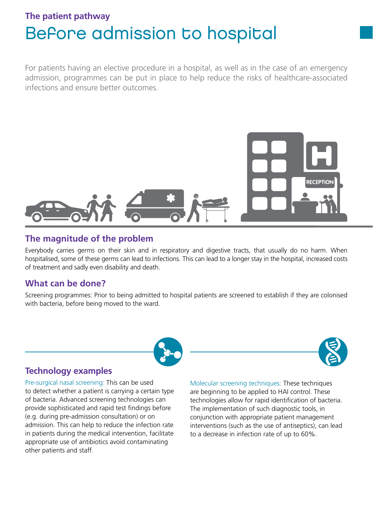## **The patient pathway** Before admission to hospital

For patients having an elective procedure in a hospital, as well as in the case of an emergency admission, programmes can be put in place to help reduce the risks of healthcare-associated infections and ensure better outcomes.



#### **The magnitude of the problem**

Everybody carries germs on their skin and in respiratory and digestive tracts, that usually do no harm. When hospitalised, some of these germs can lead to infections. This can lead to a longer stay in the hospital, increased costs of treatment and sadly even disability and death.

### **What can be done?**

Screening programmes: Prior to being admitted to hospital patients are screened to establish if they are colonised with bacteria, before being moved to the ward.





Pre-surgical nasal screening: This can be used to detect whether a patient is carrying a certain type of bacteria. Advanced screening technologies can provide sophisticated and rapid test findings before (e.g. during pre-admission consultation) or on admission. This can help to reduce the infection rate in patients during the medical intervention, facilitate appropriate use of antibiotics avoid contaminating other patients and staff.

Molecular screening techniques: These techniques are beginning to be applied to HAI control. These technologies allow for rapid identification of bacteria. The implementation of such diagnostic tools, in conjunction with appropriate patient management interventions (such as the use of antiseptics), can lead to a decrease in infection rate of up to 60%.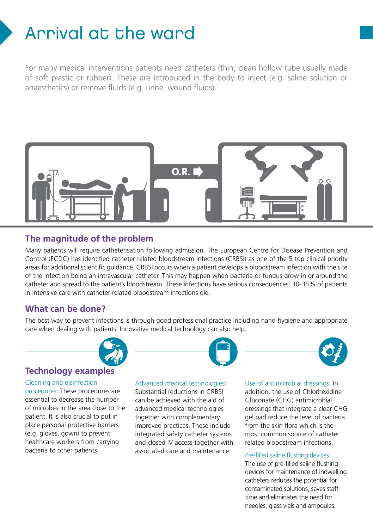# Arrival at the ward

For many medical interventions patients need catheters (thin, clean hollow tube usually made of soft plastic or rubber). These are introduced in the body to inject (e.g. saline solution or anaesthetics) or remove fluids (e.g. urine, wound fluids).



#### **The magnitude of the problem**

Many patients will require catheterisation following admission. The European Centre for Disease Prevention and Control (ECDC) has identified catheter related bloodstream infections (CRBSI) as one of the 5 top clinical priority areas for additional scientific guidance. CRBSI occurs when a patient develops a bloodstream infection with the site of the infection being an intravascular catheter. This may happen when bacteria or fungus grow in or around the catheter and spread to the patient's bloodstream. These infections have serious consequences: 30-35% of patients in intensive care with catheter-related bloodstream infections die.

#### **What can be done?**

The best way to prevent infections is through good professional practice including hand-hygiene and appropriate care when dealing with patients. Innovative medical technology can also help.



#### **Technology examples**

#### Cleaning and disinfection

procedures: These procedures are essential to decrease the number of microbes in the area close to the patient. It is also crucial to put in place personal protective barriers (e.g. gloves, gown) to prevent healthcare workers from carrying bacteria to other patients.



Substantial reductions in CRBSI can be achieved with the aid of advanced medical technologies together with complementary improved practices. These include integrated safety catheter systems and closed IV access together with associated care and maintenance.



Use of antimicrobial dressings: In

addition, the use of Chlorhexidine Gluconate (CHG) antimicrobial dressings that integrate a clear CHG gel pad reduce the level of bacteria from the skin flora which is the most common source of catheter related bloodstream infections.

#### Pre-filled saline flushing devices:

The use of pre-filled saline flushing devices for maintenance of indwelling catheters reduces the potential for contaminated solutions, saves staff time and eliminates the need for needles, glass vials and ampoules.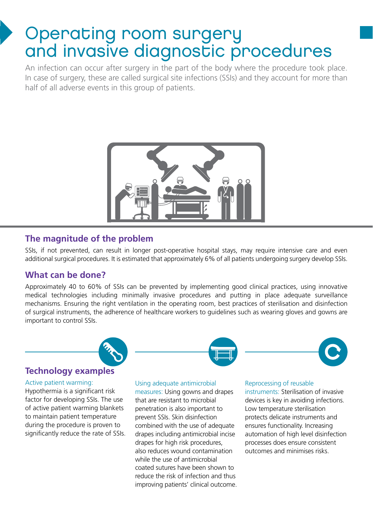# Operating room surgery and invasive diagnostic procedures

An infection can occur after surgery in the part of the body where the procedure took place. In case of surgery, these are called surgical site infections (SSIs) and they account for more than half of all adverse events in this group of patients.



### **The magnitude of the problem**

SSIs, if not prevented, can result in longer post-operative hospital stays, may require intensive care and even additional surgical procedures. It is estimated that approximately 6% of all patients undergoing surgery develop SSIs.

### **What can be done?**

Approximately 40 to 60% of SSIs can be prevented by implementing good clinical practices, using innovative medical technologies including minimally invasive procedures and putting in place adequate surveillance mechanisms. Ensuring the right ventilation in the operating room, best practices of sterilisation and disinfection of surgical instruments, the adherence of healthcare workers to guidelines such as wearing gloves and gowns are important to control SSIs.



### **Technology examples**

#### Active patient warming:

Hypothermia is a significant risk factor for developing SSIs. The use of active patient warming blankets to maintain patient temperature during the procedure is proven to significantly reduce the rate of SSIs. Using adequate antimicrobial

measures: Using gowns and drapes that are resistant to microbial penetration is also important to prevent SSIs. Skin disinfection combined with the use of adequate drapes including antimicrobial incise drapes for high risk procedures, also reduces wound contamination while the use of antimicrobial coated sutures have been shown to reduce the risk of infection and thus improving patients' clinical outcome.

#### Reprocessing of reusable

instruments: Sterilisation of invasive devices is key in avoiding infections. Low temperature sterilisation protects delicate instruments and ensures functionality. Increasing automation of high level disinfection processes does ensure consistent outcomes and minimises risks.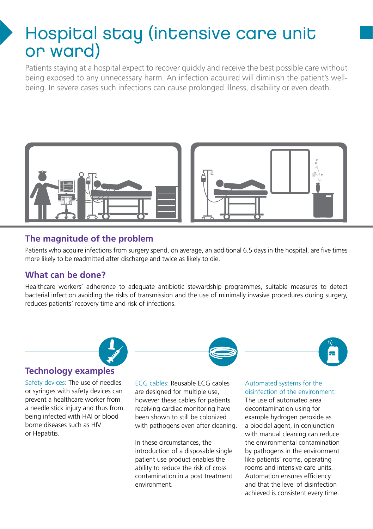# Hospital stay (intensive care unit or ward)

Patients staying at a hospital expect to recover quickly and receive the best possible care without being exposed to any unnecessary harm. An infection acquired will diminish the patient's wellbeing. In severe cases such infections can cause prolonged illness, disability or even death.



## **The magnitude of the problem**

Patients who acquire infections from surgery spend, on average, an additional 6.5 days in the hospital, are five times more likely to be readmitted after discharge and twice as likely to die.

### **What can be done?**

Healthcare workers' adherence to adequate antibiotic stewardship programmes, suitable measures to detect bacterial infection avoiding the risks of transmission and the use of minimally invasive procedures during surgery, reduces patients' recovery time and risk of infections.



#### **Technology examples**

Safety devices: The use of needles or syringes with safety devices can prevent a healthcare worker from a needle stick injury and thus from being infected with HAI or blood borne diseases such as HIV or Hepatitis.

ECG cables: Reusable ECG cables are designed for multiple use, however these cables for patients receiving cardiac monitoring have been shown to still be colonized with pathogens even after cleaning.

In these circumstances, the introduction of a disposable single patient use product enables the ability to reduce the risk of cross contamination in a post treatment environment.

#### Automated systems for the disinfection of the environment:

The use of automated area decontamination using for example hydrogen peroxide as a biocidal agent, in conjunction with manual cleaning can reduce the environmental contamination by pathogens in the environment like patients' rooms, operating rooms and intensive care units. Automation ensures efficiency and that the level of disinfection achieved is consistent every time.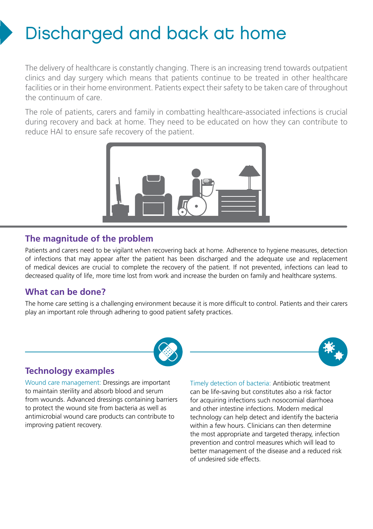# Discharged and back at home

The delivery of healthcare is constantly changing. There is an increasing trend towards outpatient clinics and day surgery which means that patients continue to be treated in other healthcare facilities or in their home environment. Patients expect their safety to be taken care of throughout the continuum of care.

The role of patients, carers and family in combatting healthcare-associated infections is crucial during recovery and back at home. They need to be educated on how they can contribute to reduce HAI to ensure safe recovery of the patient.



## **The magnitude of the problem**

Patients and carers need to be vigilant when recovering back at home. Adherence to hygiene measures, detection of infections that may appear after the patient has been discharged and the adequate use and replacement of medical devices are crucial to complete the recovery of the patient. If not prevented, infections can lead to decreased quality of life, more time lost from work and increase the burden on family and healthcare systems.

## **What can be done?**

The home care setting is a challenging environment because it is more difficult to control. Patients and their carers play an important role through adhering to good patient safety practices.



### **Technology examples**

Wound care management: Dressings are important to maintain sterility and absorb blood and serum from wounds. Advanced dressings containing barriers to protect the wound site from bacteria as well as antimicrobial wound care products can contribute to improving patient recovery.

Timely detection of bacteria: Antibiotic treatment can be life-saving but constitutes also a risk factor for acquiring infections such nosocomial diarrhoea and other intestine infections. Modern medical technology can help detect and identify the bacteria within a few hours. Clinicians can then determine the most appropriate and targeted therapy, infection prevention and control measures which will lead to better management of the disease and a reduced risk of undesired side effects.